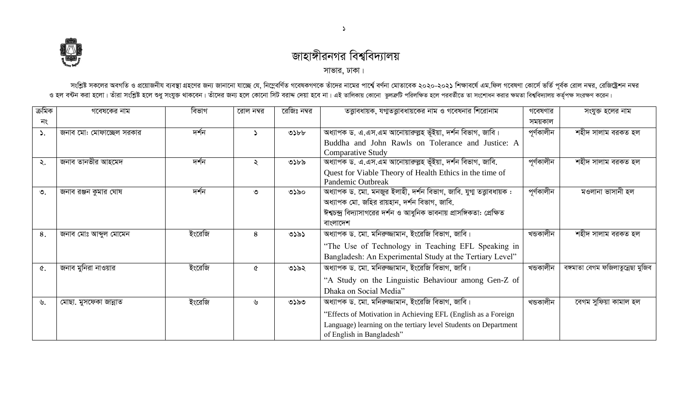

## জাহাঙ্গীরনগর বিশ্ববিদ্যালয়

সাভার, ঢাকা।

সংশ্লিষ্ট সকলের অবগতি ও প্রয়োজনীয ব্যবস্থা গ্রহণের জন্য জানানো যাচ্ছে যে, নিম্নেবর্ণিত গবেষর নামের নামের পার্শে বর্ণন মেতাবেক ২০২০-২০২১ শিক্ষাবর্ষে এম.ফিল গবেষণা কোর্সে ভর্তি পূর্বক রোল নম্বর, রেজিষ্ট্রেশন নম্বর<br>ও হল বন

| ক্ৰমিক | গবেষকের নাম              | বিভাগ  | রোল নম্বর | রেজিঃ নম্বর | তত্তাবধায়ক, যগ্মতত্তাবধায়কের নাম ও গবেষনার শিরোনাম                   | গবেষণার    | সংযুক্ত হলের নাম                  |
|--------|--------------------------|--------|-----------|-------------|------------------------------------------------------------------------|------------|-----------------------------------|
| নং     |                          |        |           |             |                                                                        | সময়কাল    |                                   |
| ۵.     | জনাব মো: মোফাচ্ছেল সরকার | দর্শন  |           | ৩১৮৮        | অধ্যাপক ড. এ.এস.এম আনোয়ারুল্লহ ভূঁইয়া, দর্শন বিভাগ, জাবি।            | পূৰ্ণকালীন | শহীদ সালাম বরকত হল                |
|        |                          |        |           |             | Buddha and John Rawls on Tolerance and Justice: A                      |            |                                   |
|        |                          |        |           |             | <b>Comparative Study</b>                                               |            |                                   |
| ২.     | জনাব তানভীর আহমেদ        | দর্শন  | ২         | ৩১৮৯        | অধ্যাপক ড. এ.এস.এম আনোয়ারুল্লহ ভূঁইয়া, দর্শন বিভাগ, জাবি.            | পূৰ্ণকালীন | শহীদ সালাম বরকত হল                |
|        |                          |        |           |             | Quest for Viable Theory of Health Ethics in the time of                |            |                                   |
|        |                          |        |           |             | Pandemic Outbreak                                                      |            |                                   |
| ৩.     | জনাব রঞ্জন কুমার ঘোষ     | দর্শন  | ৩         | ৩১৯০        | অধ্যাপক ড. মো. মনজুর ইলাহী, দর্শন বিভাগ, জাবি. যুগা তত্তাবধায়ক :      | পূৰ্ণকালীন | মওলানা ভাসানী হল                  |
|        |                          |        |           |             | অধ্যাপক মো. জহির রায়হান, দর্শন বিভাগ, জাবি.                           |            |                                   |
|        |                          |        |           |             | ঈশ্বচন্দ্র বিদ্যাসাগরের দর্শন ও আধুনিক ভাবনায় প্রাসঙ্গিকতা: প্রেক্ষিত |            |                                   |
|        |                          |        |           |             | বাংলাদেশ                                                               |            |                                   |
| 8.     | জনাব মোঃ আব্দুল মোমেন    | ইংরেজি | 8         | ৩১৯১        | অধ্যাপক ড. মো. মনিরুজ্জামান, ইংরেজি বিভাগ, জাবি।                       | খন্ডকালীন  | শহীদ সালাম বরকত হল                |
|        |                          |        |           |             | "The Use of Technology in Teaching EFL Speaking in                     |            |                                   |
|        |                          |        |           |             | Bangladesh: An Experimental Study at the Tertiary Level"               |            |                                   |
| ৫.     | জনাব মুনিরা নাওয়ার      | ইংরেজি | ৫         | ৩১৯২        | অধ্যাপক ড. মো. মনিরুজ্জামান, ইংরেজি বিভাগ, জাবি।                       | খন্ডকালীন  | বঙ্গমাতা বেগম ফজিলাতুন্নেছা মুজিব |
|        |                          |        |           |             | "A Study on the Linguistic Behaviour among Gen-Z of                    |            |                                   |
|        |                          |        |           |             | Dhaka on Social Media"                                                 |            |                                   |
| ৬.     | মোছা. মুসফেকা জান্নাত    | ইংরেজি | ৬         | ৩১৯৩        | অধ্যাপক ড. মো. মনিরুজ্জামান, ইংরেজি বিভাগ, জাবি।                       | খন্ডকালীন  | বেগম সুফিয়া কামাল হল             |
|        |                          |        |           |             | "Effects of Motivation in Achieving EFL (English as a Foreign          |            |                                   |
|        |                          |        |           |             | Language) learning on the tertiary level Students on Department        |            |                                   |
|        |                          |        |           |             | of English in Bangladesh"                                              |            |                                   |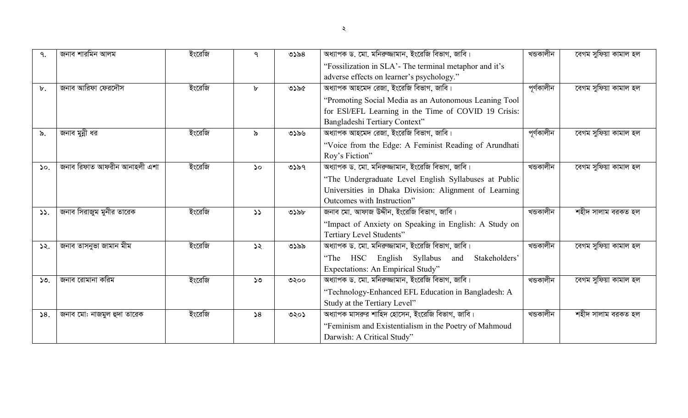| ৭.             | জনাব শারমিন আলম             | ইংরেজি | ٩             | ৩১৯৪ | অধ্যাপক ড. মো. মনিরুজ্জামান, ইংরেজি বিভাগ, জাবি।       | খন্ডকালীন  | বেগম সুফিয়া কামাল হল |
|----------------|-----------------------------|--------|---------------|------|--------------------------------------------------------|------------|-----------------------|
|                |                             |        |               |      | "Fossilization in SLA'- The terminal metaphor and it's |            |                       |
|                |                             |        |               |      | adverse effects on learner's psychology."              |            |                       |
| $\mathbf{b}$ . | জনাব আরিফা ফেরদৌস           | ইংরেজি | ৮             | ৩১৯৫ | অধ্যাপক আহমেদ রেজা, ইংরেজি বিভাগ, জাবি।                | পূর্ণকালীন | বেগম সুফিয়া কামাল হল |
|                |                             |        |               |      | "Promoting Social Media as an Autonomous Leaning Tool  |            |                       |
|                |                             |        |               |      | for ESI/EFL Learning in the Time of COVID 19 Crisis:   |            |                       |
|                |                             |        |               |      | Bangladeshi Tertiary Context"                          |            |                       |
| ৯.             | জনাব মুন্নী ধর              | ইংরেজি | ৯             | ৩১৯৬ | অধ্যাপক আহমেদ রেজা, ইংরেজি বিভাগ, জাবি।                | পূৰ্ণকালীন | বেগম সুফিয়া কামাল হল |
|                |                             |        |               |      | "Voice from the Edge: A Feminist Reading of Arundhati  |            |                       |
|                |                             |        |               |      | Roy's Fiction"                                         |            |                       |
| 50.            | জনাব রিফাত আফরীন আনাহলী এশা | ইংরেজি | $\mathcal{L}$ | ৩১৯৭ | অধ্যাপক ড. মো. মনিরুজ্জামান, ইংরেজি বিভাগ, জাবি।       | খন্ডকালীন  | বেগম সুফিয়া কামাল হল |
|                |                             |        |               |      | "The Undergraduate Level English Syllabuses at Public  |            |                       |
|                |                             |        |               |      | Universities in Dhaka Division: Alignment of Learning  |            |                       |
|                |                             |        |               |      | Outcomes with Instruction"                             |            |                       |
| 55.            | জনাব সিরাজুম মুনীর তারেক    | ইংরেজি | 55            | ৩১৯৮ | জনাব মো. আফাজ উদ্দীন, ইংরেজি বিভাগ, জাবি।              | খন্ডকালীন  | শহীদ সালাম বরকত হল    |
|                |                             |        |               |      | "Impact of Anxiety on Speaking in English: A Study on  |            |                       |
|                |                             |        |               |      | Tertiary Level Students"                               |            |                       |
| ১২.            | জনাব তাসনুভা জামান মীম      | ইংরেজি | ১২            | ৩১৯৯ | অধ্যাপক ড. মো. মনিরুজ্জামান, ইংরেজি বিভাগ, জাবি।       | খন্ডকালীন  | বেগম সুফিয়া কামাল হল |
|                |                             |        |               |      | "The HSC English Syllabus and<br>Stakeholders'         |            |                       |
|                |                             |        |               |      | Expectations: An Empirical Study"                      |            |                       |
| 50.            | জনাব রোমানা করিম            | ইংরেজি | ১৩            | ৩২০০ | অধ্যাপক ড. মো. মনিরুজ্জামান, ইংরেজি বিভাগ, জাবি।       | খন্ডকালীন  | বেগম সুফিয়া কামাল হল |
|                |                             |        |               |      | "Technology-Enhanced EFL Education in Bangladesh: A    |            |                       |
|                |                             |        |               |      | Study at the Tertiary Level"                           |            |                       |
| 58.            | জনাব মো: নাজমুল হুদা তারেক  | ইংরেজি | 58            | ৩২০১ | অধ্যাপক মাসরুর শাহিদ হোসেন, ইংরেজি বিভাগ, জাবি।        | খন্ডকালীন  | শহীদ সালাম বরকত হল    |
|                |                             |        |               |      | "Feminism and Existentialism in the Poetry of Mahmoud  |            |                       |
|                |                             |        |               |      | Darwish: A Critical Study"                             |            |                       |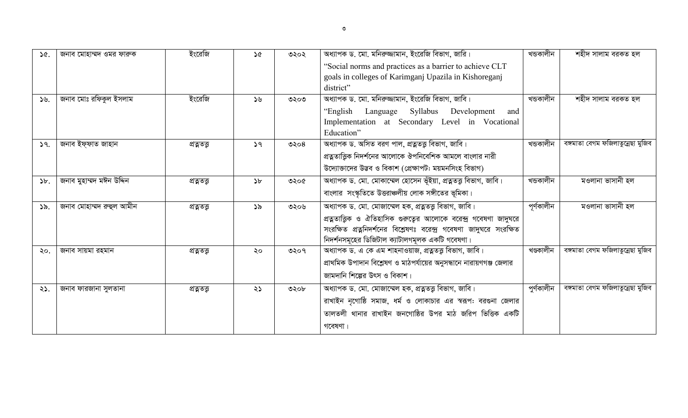| 36.              | জনাব মোহাম্মদ ওমর ফারুক  | ইংরেজি     | ১৫ | ৩২০২ | অধ্যাপক ড. মো. মনিরুজ্জামান, ইংরেজি বিভাগ, জারি।<br>"Social norms and practices as a barrier to achieve CLT<br>goals in colleges of Karimganj Upazila in Kishoreganj<br>district"                                                                      | খন্ডকালীন  | শহীদ সালাম বরকত হল                |
|------------------|--------------------------|------------|----|------|--------------------------------------------------------------------------------------------------------------------------------------------------------------------------------------------------------------------------------------------------------|------------|-----------------------------------|
| $\mathcal{Y}$ ৬. | জনাব মোঃ রফিকুল ইসলাম    | ইংরেজি     | 56 | ৩২০৩ | অধ্যাপক ড. মো. মনিরুজ্জামান, ইংরেজি বিভাগ, জাবি।<br>Language<br>Syllabus Development<br>"English<br>and<br>Implementation at Secondary Level in Vocational<br>Education"                                                                               | খডকালীন    | শহীদ সালাম বরকত হল                |
| 59.              | জনাব ইফ্ফাত জাহান        | প্ৰত্নতু   | 59 | ৩২০৪ | অধ্যাপক ড. অসিত বরণ পাল, প্রত্নতত্ত্ব বিভাগ, জাবি।<br>প্রত্নতাত্তিক নিদর্শনের আলোকে ঔপনিবেশিক আমলে বাংলার নারী<br>উদ্যোক্তাদের উদ্ভব ও বিকাশ (প্রেক্ষাপট: ময়মনসিংহ বিভাগ)                                                                             | খডকালীন    | বঙ্গমাতা বেগম ফজিলাতুন্নেছা মুজিব |
| $\delta b$ .     | জনাব মুহাম্মদ মঈন উদ্দিন | প্ৰত্নত    | b  | ৩২০৫ | অধ্যাপক ড. মো. মোকাম্মেল হোসেন ভূঁইয়া, প্ৰত্নতত্ত্ব বিভাগ, জাবি।<br>বাংলার সংস্কৃতিতে উত্তরাঞ্চলীয় লোক সঙ্গীতের ভূমিকা।                                                                                                                              | খন্ডকালীন  | মওলানা ভাসানী হল                  |
| ১৯.              | জনাব মোহাম্মদ রুহুল আমীন | প্ৰত্নতত্ত | ১৯ | ৩২০৬ | অধ্যাপক ড. মো. মোজাম্মেল হক, প্রত্নতত্ত্ব বিভাগ, জাবি।<br>প্রত্নতাত্ত্বিক ও ঐতিহাসিক গুরুত্বের আলোকে বরেন্দ্র গবেষণা জাদুঘরে<br>সংরক্ষিত প্রত্ননিদর্শনের বিশ্লেষণঃ বরেন্দ্র গবেষণা জাদুঘরে সংরক্ষিত<br>নিদর্শনসমূহের ডিজিটাল ক্যাটালগমূলক একটি গবেষণা। | পূৰ্ণকালীন | মওলানা ভাসানী হল                  |
| 50.              | জনাব সায়মা রহমান        | প্ৰত্নতু   | ২০ | ৩২০৭ | অধ্যাপক ড. এ কে এম শাহনাওয়াজ, প্রত্নতত্ত্ব বিভাগ, জাবি।<br>প্রাথমিক উপাদান বিশ্লেষণ ও মাঠপর্যায়ের অনুসন্ধানে নারায়ণগঞ্জ জেলার<br>জামদানি শিল্পের উৎস ও বিকাশ।                                                                                       | খণ্ডকালীন  | বঙ্গমাতা বেগম ফজিলাতুন্নেছা মুজিব |
| 25.              | জনাব ফারজানা সুলতানা     | প্ৰত্নত    | ২১ | ৩২০৮ | অধ্যাপক ড. মো. মোজাম্মেল হক, প্রত্নতত্ত্ব বিভাগ, জাবি।<br>রাখাইন নৃগোষ্ঠি সমাজ, ধর্ম ও লোকাচার এর স্বরূপ: বরগুনা জেলার<br>তালতলী থানার রাখাইন জনগোষ্ঠির উপর মাঠ জরিপ ভিত্তিক একটি<br>গবেষণা।                                                           | পুৰ্ণকালীন | বঙ্গমাতা বেগম ফজিলাতুন্নেছা মুজিব |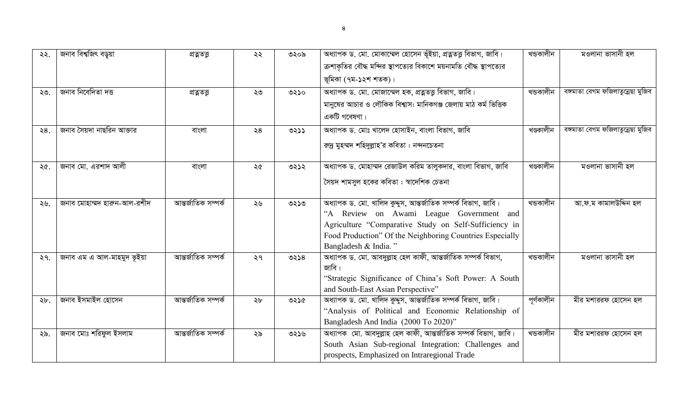| ২২. | জনাব বিশ্বজিৎ বড়ুয়া       | প্ৰত্নত             | ২২            | ৩২০৯ | অধ্যাপক ড. মো. মোকাম্মেল হোসেন ভূঁইয়া, প্ৰত্নতত্ত্ব বিভাগ, জাবি।<br>ক্রশাকৃতির বৌদ্ধ মন্দির স্থাপত্যের বিকাশে ময়নামতি বৌদ্ধ স্থাপত্যের<br>ভূমিকা (৭ম-১২শ শতক)।                                                                                        | খন্ডকালীন  | মওলানা ভাসানী হল                  |
|-----|-----------------------------|---------------------|---------------|------|---------------------------------------------------------------------------------------------------------------------------------------------------------------------------------------------------------------------------------------------------------|------------|-----------------------------------|
| ২৩. | জনাব নিবেদিতা দত্ত          | প্ৰত্নত             | ২৩            | ৩২১০ | অধ্যাপক ড. মো. মোজাম্মেল হক, প্রত্নতত্ত্ব বিভাগ, জাবি।<br>মানুষের আচার ও লৌকিক বিশ্বাস: মানিকগঞ্জ জেলায় মাঠ কর্ম ভিত্তিক<br>একটি গবেষণা।                                                                                                               | খন্ডকালীন  | বঙ্গমাতা বেগম ফজিলাতুন্নেছা মুজিব |
| ২8. | জনাব সৈয়দা নাছরিন আক্তার   | বাংলা               | $\geqslant 8$ | 0255 | অধ্যাপক ড. মোঃ খালেদ হোসাইন, বাংলা বিভাগ, জাবি<br>রন্দ্র মুহম্মদ শহিদুল্লাহ'র কবিতা : নন্দনচেতনা                                                                                                                                                        | খণ্ডকালীন  | বঙ্গমাতা বেগম ফজিলাতুন্নেছা মুজিব |
| ২৫. | জনাব মো. এরশাদ আলী          | বাংলা               | ২৫            | ৩২১২ | অধ্যাপক ড. মোহাম্মদ রেজাউল করিম তালুকদার, বাংলা বিভাগ, জাবি<br>সৈয়দ শামসুল হকের কবিতা : স্বাদেশিক চেতনা                                                                                                                                                | খণ্ডকালীন  | মওলানা ভাসানী হল                  |
| ২৬. | জনাব মোহাম্মদ হারুন-আল-রশীদ | আন্তর্জাতিক সম্পর্ক | ২৬            | ৩২১৩ | অধ্যাপক ড. মো. খালিদ কুদ্দুস, আন্তর্জাতিক সম্পর্ক বিভাগ, জাবি।<br>"A Review on Awami League Government and<br>Agriculture "Comparative Study on Self-Sufficiency in<br>Food Production" Of the Neighboring Countries Especially<br>Bangladesh & India." | খডকালীন    | আ.ফ.ম কামালউদ্দিন হল              |
| 29. | জনাব এম এ আল-মাহমুদ ভূইয়া  | আন্তর্জাতিক সম্পর্ক | ২৭            | ৩২১৪ | অধ্যাপক ড. মো. আবদুল্লাহ হেল কাফী, আন্তর্জাতিক সম্পর্ক বিভাগ,<br>জাবি।<br>"Strategic Significance of China's Soft Power: A South<br>and South-East Asian Perspective"                                                                                   | খডকালীন    | মওলানা ভাসানী হল                  |
| ২৮. | জনাব ইসমাইল হোসেন           | আন্তর্জাতিক সম্পর্ক | ২৮            | ৩২১৫ | অধ্যাপক ড. মো. খালিদ কুদ্দুস, আন্তর্জাতিক সম্পর্ক বিভাগ, জাবি।<br>"Analysis of Political and Economic Relationship of<br>Bangladesh And India (2000 To 2020)"                                                                                           | পূৰ্ণকালীন | মীর মশাররফ হোসেন হল               |
| ২৯. | জনাব মোঃ শরিফুল ইসলাম       | আন্তর্জাতিক সম্পর্ক | ২৯            | ৩২১৬ | অধ্যাপক মো. আবদুল্লাহ হেল কাফী, আন্তর্জাতিক সম্পর্ক বিভাগ, জাবি।<br>South Asian Sub-regional Integration: Challenges and<br>prospects, Emphasized on Intraregional Trade                                                                                | খডকালীন    | মীর মশাররফ হোসেন হল               |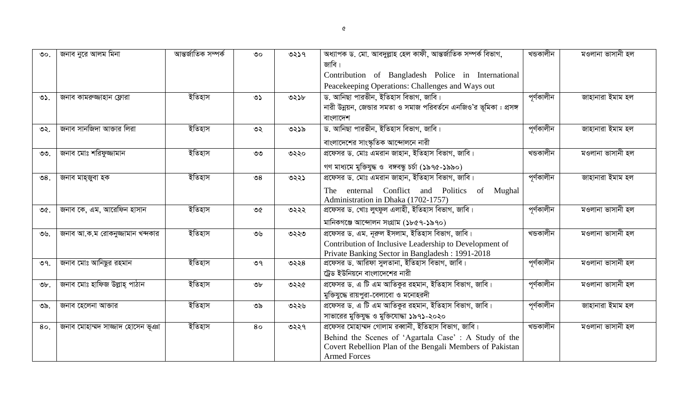| $\mathcal{O}^{\circ}$ | জনাব নুরে আলম মিনা               | আন্তর্জাতিক সম্পর্ক | $\circ$       | ৩২১৭ | অধ্যাপক ড. মো. আবদুল্লাহ হেল কাফী, আন্তর্জাতিক সম্পর্ক বিভাগ,      | খন্ডকালীন  | মওলানা ভাসানী হল |
|-----------------------|----------------------------------|---------------------|---------------|------|--------------------------------------------------------------------|------------|------------------|
|                       |                                  |                     |               |      | জাবি।                                                              |            |                  |
|                       |                                  |                     |               |      | Contribution of Bangladesh Police in International                 |            |                  |
|                       |                                  |                     |               |      | Peacekeeping Operations: Challenges and Ways out                   |            |                  |
| ৩১.                   | জনাব কামরুজ্জাহান ফ্লোরা         | ইতিহাস              | ৩১            | ৩২১৮ | ড. আনিছা পারভীন, ইতিহাস বিভাগ, জাবি।                               | পূর্ণকালীন | জাহানারা ইমাম হল |
|                       |                                  |                     |               |      | নারী উন্নয়ন, জেভার সমতা ও সমাজ পরিবর্তনে এনজিও'র ভূমিকা : প্রসঙ্গ |            |                  |
|                       |                                  |                     |               |      | বাংলাদেশ                                                           |            |                  |
| ৩২.                   | জনাব সানজিদা আক্তার লিরা         | ইতিহাস              | ৩২            | ৩২১৯ | ড. আনিছা পারভীন, ইতিহাস বিভাগ, জাবি।                               | পূৰ্ণকালীন | জাহানারা ইমাম হল |
|                       |                                  |                     |               |      | বাংলাদেশের সাংস্কৃতিক আন্দোলনে নারী                                |            |                  |
| $OQ$ .                | জনাব মোঃ শরিফুজ্জামান            | ইতিহাস              | ৩৩            | ৩২২০ | প্রফেসর ড. মোঃ এমরান জাহান, ইতিহাস বিভাগ, জাবি।                    | খন্ডকালীন  | মওলানা ভাসানী হল |
|                       |                                  |                     |               |      | গণ মাধ্যমে মুক্তিযুদ্ধ ও বঙ্গবন্ধু চৰ্চা (১৯৭৫-১৯৯০)               |            |                  |
| $\mathcal{O}8.$       | জনাব মাহ্জুবা হক                 | ইতিহাস              | $\mathcal{S}$ | ৩২২১ | প্রফেসর ড. মোঃ এমরান জাহান, ইতিহাস বিভাগ, জাবি।                    | পূৰ্ণকালীন | জাহানারা ইমাম হল |
|                       |                                  |                     |               |      | enternal Conflict and Politics<br>of Mughal<br>The                 |            |                  |
|                       |                                  |                     |               |      | Administration in Dhaka (1702-1757)                                |            |                  |
| ৩৫.                   | জনাব কে, এম, আরেফিন হাসান        | ইতিহাস              | ৩৫            | ৩২২২ | প্রফেসর ড. খোঃ লুৎফুল এলাহী, ইতিহাস বিভাগ, জাবি।                   | পূৰ্ণকালীন | মওলানা ভাসানী হল |
|                       |                                  |                     |               |      | মানিকগঞ্জে আন্দোলন সংগ্ৰাম (১৮৫৭-১৯৭০)                             |            |                  |
| ৩৬.                   | জনাব আ.ক.ম রোকনুজ্জামান খন্দকার  | ইতিহাস              | ৩৬            | ৩২২৩ | প্রফেসর ড. এম. নূরুল ইসলাম, ইতিহাস বিভাগ, জাবি।                    | খন্ডকালীন  | মওলানা ভাসানী হল |
|                       |                                  |                     |               |      | Contribution of Inclusive Leadership to Development of             |            |                  |
|                       |                                  |                     |               |      | Private Banking Sector in Bangladesh: 1991-2018                    |            |                  |
| ৩৭.                   | জনাব মোঃ আনিছুর রহমান            | ইতিহাস              | ৩৭            | ৩২২৪ | প্রফেসর ড. আরিফা সুলতানা, ইতিহাস বিভাগ, জাবি।                      | পূৰ্ণকালীন | মওলানা ভাসানী হল |
|                       |                                  |                     |               |      | ট্রেড ইউনিয়নে বাংলাদেশের নারী                                     |            |                  |
| $\mathcal{D}b$ .      | জনাব মোঃ হাফিজ উল্লাহ্ পাঠান     | ইতিহাস              | ৩৮            | ৩২২৫ | প্রফেসর ড. এ টি এম আতিকুর রহমান, ইতিহাস বিভাগ, জাবি।               | পূৰ্ণকালীন | মওলানা ভাসানী হল |
|                       |                                  |                     |               |      | মুক্তিযুদ্ধে রায়পুরা-বেলাবো ও মনোহরদী                             |            |                  |
| ৩৯.                   | জনাব হেলেনা আক্তার               | ইতিহাস              | ৩৯            | ৩২২৬ | প্রফেসর ড. এ টি এম আতিকুর রহমান, ইতিহাস বিভাগ, জাবি।               | পূৰ্ণকালীন | জাহানারা ইমাম হল |
|                       |                                  |                     |               |      | সাভারের মুক্তিযুদ্ধ ও মুক্তিযোদ্ধা ১৯৭১-২০২০                       |            |                  |
| 80.                   | জনাব মোহাম্মদ সাজ্জাদ হোসেন ভূঞা | ইতিহাস              | 80            | ৩২২৭ | প্রফেসর মোহাম্মদ গোলাম রব্বানী, ইতিহাস বিভাগ, জাবি।                | খন্ডকালীন  | মওলানা ভাসানী হল |
|                       |                                  |                     |               |      | Behind the Scenes of 'Agartala Case': A Study of the               |            |                  |
|                       |                                  |                     |               |      | Covert Rebellion Plan of the Bengali Members of Pakistan           |            |                  |
|                       |                                  |                     |               |      | <b>Armed Forces</b>                                                |            |                  |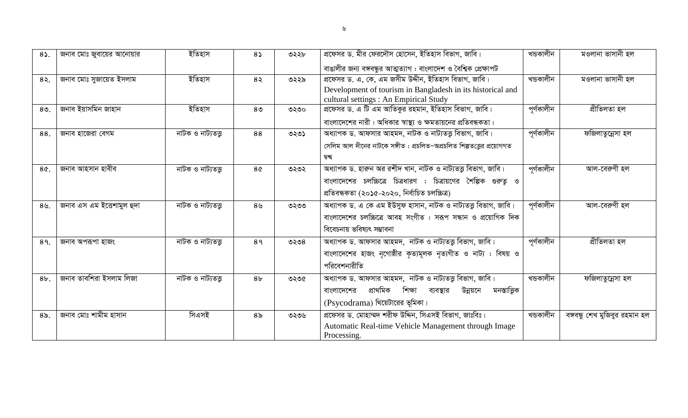| 85.          | জনাব মোঃ জুবায়ের আনোয়ার | ইতিহাস             | $8\sqrt{ }$    | ৩২২৮ | প্রফেসর ড. মীর ফেরদৌস হোসেন, ইতিহাস বিভাগ, জাবি।<br>বাঙালীর জন্য বঙ্গবন্ধুর আত্মত্যাগ : বাংলাদেশ ও বৈশ্বিক প্রেক্ষাপট                                                            | খন্ডকালীন  | মওলানা ভাসানী হল               |
|--------------|---------------------------|--------------------|----------------|------|----------------------------------------------------------------------------------------------------------------------------------------------------------------------------------|------------|--------------------------------|
| $8\lambda$ . | জনাব মোঃ সুজায়েত ইসলাম   | ইতিহাস             | 85             | ৩২২৯ | প্রফেসর ড. এ, কে, এম জসীম উদ্দীন, ইতিহাস বিভাগ, জাবি।<br>Development of tourism in Bangladesh in its historical and<br>cultural settings : An Empirical Study                    | খন্ডকালীন  | মওলানা ভাসানী হল               |
| $80$ .       | জনাব ইয়াসমিন জাহান       | ইতিহাস             | 8 <sub>0</sub> | ৩২৩০ | প্রফেসর ড. এ টি এম আতিকুর রহমান, ইতিহাস বিভাগ, জাবি।<br>বাংলাদেশের নারী: অধিকার স্বাস্থ্য ও ক্ষমতায়নের প্রতিবন্ধকতা।                                                            | পূৰ্ণকালীন | প্ৰীতিলতা হল                   |
| 88.          | জনাব হাজেরা বেগম          | নাটক ও নাট্যতত্ত্ব | 88             | ৩২৩১ | অধ্যাপক ড. আফসার আহমদ, নাটক ও নাট্যতত্তু বিভাগ, জাবি।<br>সেলিম আল দীনের নাটকে সঙ্গীত : প্রচলিত–অপ্রচলিত শিল্পতত্তের প্রয়োগগত<br>দ্বন্দ্ব                                        | পূৰ্ণকালীন | ফজিলাতুন্নেসা হল               |
| 8¢.          | জনাব আহসান হাবীব          | নাটক ও নাট্যতত্ত্ব | 8¢             | ৩২৩২ | অধ্যাপক ড. হারুন অর রশীদ খান, নাটক ও নাট্যতত্তু বিভাগ, জাবি।<br>বাংলাদেশের চলচ্চিত্রে চিত্রধারণ : চিত্রায়ণের শৈল্পিক গুরুত্ব ও<br>প্ৰতিবন্ধকতা (২০১৫-২০২০, নিৰ্বাচিত চলচ্চিত্ৰ) | পূৰ্ণকালীন | আল-বেরুণী হল                   |
| $89$ .       | জনাব এস এম ইজেশামুল হুদা  | নাটক ও নাট্যতত্ত্ব | 8 <sub>9</sub> | ৩২৩৩ | অধ্যাপক ড. এ কে এম ইউসুফ হাসান, নাটক ও নাট্যতত্ত্ব বিভাগ, জাবি।<br>বাংলাদেশের চলচ্চিত্রে আবহ সংগীত : সরূপ সন্ধান ও প্রয়োগিক দিক<br>বিবেচনায় ভবিষ্যৎ সম্ভাবনা                   | পূৰ্ণকালীন | আল-বেরুণী হল                   |
| 89.          | জনাব অপরূপা হাজং          | নাটক ও নাট্যতত্ত্ব | 89             | ৩২৩৪ | অধ্যাপক ড. আফসার আহমদ, নাটক ও নাট্যতত্ত্ব বিভাগ, জাবি।<br>বাংলাদেশের হাজং নৃগোষ্ঠীর কৃত্যমূলক নৃত্যগীত ও নাট্য : বিষয় ও<br>পরিবেশনারীতি                                         | পূৰ্ণকালীন | প্ৰীতিলতা হল                   |
| $8b$ .       | জনাব তাবশিরা ইসলাম লিজা   | নাটক ও নাট্যতত্ত্ব | 8 <sub>b</sub> | ৩২৩৫ | অধ্যাপক ড. আফসার আহমদ, নাটক ও নাট্যতত্ত্ব বিভাগ, জাবি।<br>প্ৰাথমিক<br>শিক্ষা<br>মনস্তাত্তিক<br>ব্যবস্থার<br>উন্নয়নে<br>বাংলাদেশের<br>$(Psycodrama)$ থিয়েটারের ভূমিকা।          | খন্ডকালীন  | ফজিলাতুন্নেসা হল               |
| $8b$ .       | জনাব মোঃ শামীম হাসান      | সিএসই              | 8 <sub>o</sub> | ৩২৩৬ | প্রফেসর ড. মোহাম্মদ শরীফ উদ্দিন, সিএসই বিভাগ, জাঃবিঃ।<br>Automatic Real-time Vehicle Management through Image<br>Processing.                                                     | খন্ডকালীন  | বঙ্গবন্ধু শেখ মুজিবুর রহমান হল |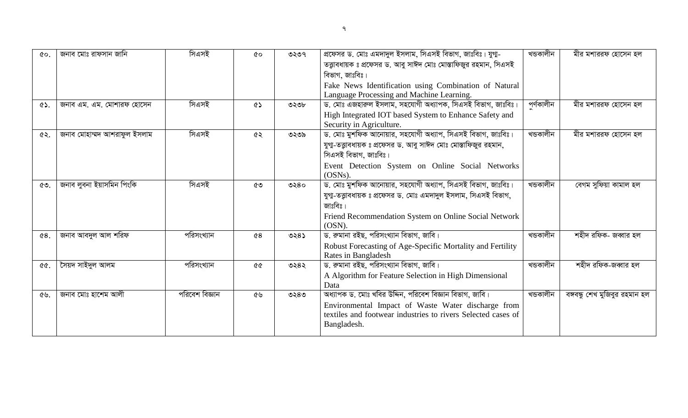| $\alpha$ | জনাব মোঃ রাফসান জানি        | সিএসই          | ৫০                | ৩২৩৭ | প্রফেসর ড. মোঃ এমদাদুল ইসলাম, সিএসই বিভাগ, জাঃবিঃ। যুগা-         | খন্ডকালীন | মীর মশাররফ হোসেন হল            |
|----------|-----------------------------|----------------|-------------------|------|------------------------------------------------------------------|-----------|--------------------------------|
|          |                             |                |                   |      | তত্ত্বাবধায়ক ঃ প্রফেসর ড. আবু সাঈদ মোঃ মোস্তাফিজুর রহমান, সিএসই |           |                                |
|          |                             |                |                   |      | বিভাগ, জাঃবিঃ।                                                   |           |                                |
|          |                             |                |                   |      | Fake News Identification using Combination of Natural            |           |                                |
|          |                             |                |                   |      | Language Processing and Machine Learning.                        |           |                                |
| ৫১.      | জনাব এম. এম. মোশারফ হোসেন   | সিএসই          | ৫১                | ৩২৩৮ | ড. মোঃ এজহারুল ইসলাম, সহযোগী অধ্যাপক, সিএসই বিভাগ, জাঃবিঃ।       | পৰ্ণকালীন | মীর মশাররফ হোসেন হল            |
|          |                             |                |                   |      | High Integrated IOT based System to Enhance Safety and           |           |                                |
|          |                             |                |                   |      | Security in Agriculture.                                         |           |                                |
| ৫২.      | জনাব মোহাম্মদ আশরাফুল ইসলাম | সিএসই          | ৫২                | ৩২৩৯ | ড. মোঃ মুশফিক আনোয়ার, সহযোগী অধ্যাপ, সিএসই বিভাগ, জাঃবিঃ।       | খন্ডকালীন | মীর মশাররফ হোসেন হল            |
|          |                             |                |                   |      | যুগা-তত্ত্বাবধায়ক ঃ প্রফেসর ড. আবু সাঈদ মোঃ মোস্তাফিজুর রহমান,  |           |                                |
|          |                             |                |                   |      | সিএসই বিভাগ, জাঃবিঃ।                                             |           |                                |
|          |                             |                |                   |      | Event Detection System on Online Social Networks                 |           |                                |
|          |                             |                |                   |      | $(OSNs)$ .                                                       |           |                                |
| ৫৩.      | জনাব লুবনা ইয়াসমিন পিংকি   | সিএসই          | ৫৩                | ৩২৪০ | ড. মোঃ মুশফিক আনোয়ার, সহযোগী অধ্যাপ, সিএসই বিভাগ, জাঃবিঃ।       | খডকালীন   | বেগম সুফিয়া কামাল হল          |
|          |                             |                |                   |      | যুগা-তত্ত্বাবধায়ক ঃ প্রফেসর ড. মোঃ এমদাদুল ইসলাম, সিএসই বিভাগ,  |           |                                |
|          |                             |                |                   |      | জাঃবিঃ।                                                          |           |                                |
|          |                             |                |                   |      | Friend Recommendation System on Online Social Network            |           |                                |
|          |                             |                |                   |      | $(OSN)$ .                                                        |           |                                |
| ₢8.      | জনাব আবদুল আল শরিফ          | পরিসংখ্যান     | $\mathcal{C}8$    | ৩২৪১ | ড. রুমানা রইছ, পরিসংখ্যান বিভাগ, জাবি।                           | খন্ডকালীন | শহীদ রফিক- জব্বার হল           |
|          |                             |                |                   |      | Robust Forecasting of Age-Specific Mortality and Fertility       |           |                                |
|          |                             |                |                   |      | Rates in Bangladesh                                              |           |                                |
|          | সৈয়দ সাইদুল আলম            | পরিসংখ্যান     | <b>&amp;&amp;</b> | ৩২৪২ | ড. রুমানা রইছ, পরিসংখ্যান বিভাগ, জাবি।                           | খন্ডকালীন | শহীদ রফিক-জব্বার হল            |
|          |                             |                |                   |      | A Algorithm for Feature Selection in High Dimensional            |           |                                |
|          |                             |                |                   |      | Data                                                             |           |                                |
| ৫৬.      | জনাব মোঃ হাশেম আলী          | পরিবেশ বিজ্ঞান | ৫৬                | ৩২৪৩ | অধ্যাপক ড. মোঃ খবির উদ্দিন, পরিবেশ বিজ্ঞান বিভাগ, জাবি।          | খন্ডকালীন | বঙ্গবন্ধু শেখ মুজিবুর রহমান হল |
|          |                             |                |                   |      | Environmental Impact of Waste Water discharge from               |           |                                |
|          |                             |                |                   |      | textiles and footwear industries to rivers Selected cases of     |           |                                |
|          |                             |                |                   |      | Bangladesh.                                                      |           |                                |
|          |                             |                |                   |      |                                                                  |           |                                |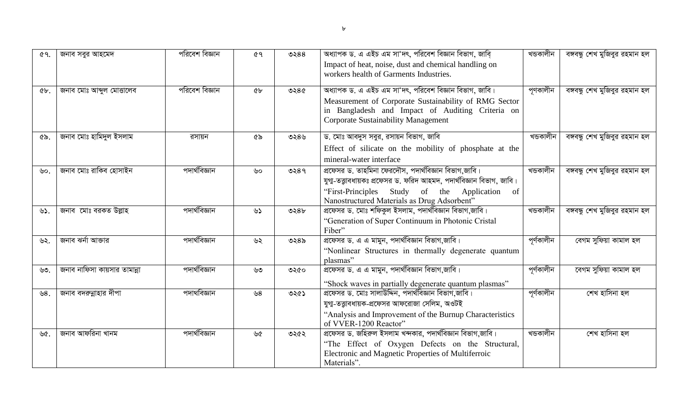| ৫৭.                | জনাব সবুর আহমেদ              | পরিবেশ বিজ্ঞান | <b>৫৭</b>      | ৩২৪৪    | অধ্যাপক ড. এ এইচ এম সা'দৎ, পরিবেশ বিজ্ঞান বিভাগ, জাবি                                                                                                   | খন্ডকালীন  | বঙ্গবন্ধু শেখ মুজিবুর রহমান হল |
|--------------------|------------------------------|----------------|----------------|---------|---------------------------------------------------------------------------------------------------------------------------------------------------------|------------|--------------------------------|
|                    |                              |                |                |         | Impact of heat, noise, dust and chemical handling on<br>workers health of Garments Industries.                                                          |            |                                |
| $\mathbf{\hat{C}}$ | জনাব মোঃ আব্দুল মোত্তালেব    | পরিবেশ বিজ্ঞান | 6 <sub>b</sub> | ৩২৪৫    | অধ্যাপক ড. এ এইচ এম সা'দৎ, পরিবেশ বিজ্ঞান বিভাগ, জাবি।                                                                                                  | পৃণকালীন   | বঙ্গবন্ধু শেখ মুজিবুর রহমান হল |
|                    |                              |                |                |         | Measurement of Corporate Sustainability of RMG Sector<br>in Bangladesh and Impact of Auditing Criteria on<br><b>Corporate Sustainability Management</b> |            |                                |
| ৫৯.                | জনাব মোঃ হামিদুল ইসলাম       | রসায়ন         | ৫৯             | ৩২৪৬    | ড. মোঃ আবদুস সবুর, রসায়ন বিভাগ, জাবি                                                                                                                   | খন্ডকালীন  | বঙ্গবন্ধু শেখ মুজিবুর রহমান হল |
|                    |                              |                |                |         | Effect of silicate on the mobility of phosphate at the<br>mineral-water interface                                                                       |            |                                |
| ৬০.                | জনাব মোঃ রাকিব হোসাইন        | পদাৰ্থবিজ্ঞান  | ৬০             | 0289    | প্রফেসর ড. তাহমিনা ফেরদৌস, পদার্থবিজ্ঞান বিভাগ,জাবি।                                                                                                    | খন্ডকালীন  | বঙ্গবন্ধু শেখ মুজিবুর রহমান হল |
|                    |                              |                |                |         | যুগা-তত্ত্বাবধায়কঃ প্রফেসর ড. ফরিদ আহমদ, পদার্থবিজ্ঞান বিভাগ, জাবি।                                                                                    |            |                                |
|                    |                              |                |                |         | "First-Principles Study of the Application of<br>Nanostructured Materials as Drug Adsorbent"                                                            |            |                                |
| ৬১.                | জনাব মোঃ বরকত উল্লাহ         | পদাৰ্থবিজ্ঞান  | ৬১             | ৩২ $8b$ | প্রফেসর ড. মোঃ শফিকুল ইসলাম, পদার্থবিজ্ঞান বিভাগ,জাবি।                                                                                                  | খন্ডকালীন  | বঙ্গবন্ধু শেখ মুজিবুর রহমান হল |
|                    |                              |                |                |         | "Generation of Super Continuum in Photonic Cristal<br>Fiber"                                                                                            |            |                                |
| ৬২.                | জনাব ঝর্না আক্তার            | পদাৰ্থবিজ্ঞান  | ৬২             | ৩২৪৯    | প্রফেসর ড. এ এ মামুন, পদার্থবিজ্ঞান বিভাগ,জাবি।                                                                                                         | পূৰ্ণকালীন | বেগম সুফিয়া কামাল হল          |
|                    |                              |                |                |         | "Nonlinear Structures in thermally degenerate quantum<br>plasmas"                                                                                       |            |                                |
| ৬৩.                | জনাব নাফিসা কায়সার তামান্না | পদাৰ্থবিজ্ঞান  | ৬৩             | ৩২৫০    | প্রফেসর ড. এ এ মামুন, পদার্থবিজ্ঞান বিভাগ,জাবি।                                                                                                         | পূৰ্ণকালীন | বেগম সুফিয়া কামাল হল          |
|                    |                              |                |                |         | "Shock waves in partially degenerate quantum plasmas"                                                                                                   |            |                                |
| ৬ $8.$             | জনাব বদরুন্নাহার দীপা        | পদাথবিজ্ঞান    | ৬8             | ৩২৫১    | প্রফেসর ড. মোঃ সালাউদ্দিন, পদার্থবিজ্ঞান বিভাগ,জাবি।                                                                                                    | পূৰ্ণকালীন | শেখ হাসিনা হল                  |
|                    |                              |                |                |         | যুগা-তত্ত্বাবধায়ক-প্রফেসর আফরোজা সেলিম, অওটই                                                                                                           |            |                                |
|                    |                              |                |                |         | "Analysis and Improvement of the Burnup Characteristics<br>of VVER-1200 Reactor"                                                                        |            |                                |
| ৬৫.                | জনাব আফরিনা খানম             | পদাৰ্থবিজ্ঞান  | ৬৫             | ৩২৫২    | প্রফেসর ড. জহিরুল ইসলাম খন্দকার, পদার্থবিজ্ঞান বিভাগ,জাবি।                                                                                              | খন্ডকালীন  | শেখ হাসিনা হল                  |
|                    |                              |                |                |         | "The Effect of Oxygen Defects on the Structural,                                                                                                        |            |                                |
|                    |                              |                |                |         | Electronic and Magnetic Properties of Multiferroic<br>Materials".                                                                                       |            |                                |
|                    |                              |                |                |         |                                                                                                                                                         |            |                                |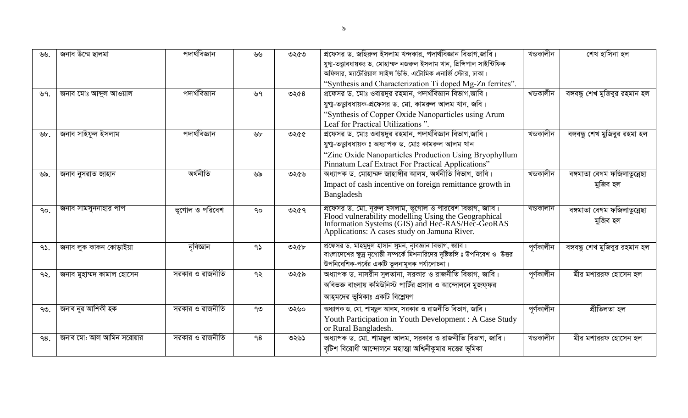| ৬৬.           | জনাব উম্মে ছালমা          | পদাৰ্থবিজ্ঞান   | ৬৬           | ৩২৫৩ | প্রফেসর ড. জহিরুল ইসলাম খন্দকার, পদার্থবিজ্ঞান বিভাগ,জাবি।                                                                                               | খন্ডকালীন  | শেখ হাসিনা হল                  |
|---------------|---------------------------|-----------------|--------------|------|----------------------------------------------------------------------------------------------------------------------------------------------------------|------------|--------------------------------|
|               |                           |                 |              |      | যুগা-তত্ত্বাবধায়কঃ ড. মোহাম্মদ নজরুল ইসলাম খান, প্রিন্সিপাল সাইন্টিফিক<br>অফিসার, ম্যাটেরিয়াল সাইন্স ডিভি. এটোমিক এনার্জি স্টোর, ঢাকা।                 |            |                                |
|               |                           |                 |              |      | "Synthesis and Characterization Ti doped Mg-Zn ferrites".                                                                                                |            |                                |
| ৬৭.           | জনাব মোঃ আব্দুল আওয়াল    | পদাৰ্থবিজ্ঞান   | ৬৭           | ৩২৫৪ | প্রফেসর ড. মোঃ ওবায়দুর রহমান, পদার্থবিজ্ঞান বিভাগ,জাবি।                                                                                                 | খন্ডকালীন  | বঙ্গবন্ধু শেখ মুজিবুর রহমান হল |
|               |                           |                 |              |      | যুগা-তত্তাবধায়ক-প্রফেসর ড. মো. কামরুল আলম খান, জবি।                                                                                                     |            |                                |
|               |                           |                 |              |      | "Synthesis of Copper Oxide Nanoparticles using Arum                                                                                                      |            |                                |
|               |                           |                 |              |      | Leaf for Practical Utilizations".                                                                                                                        |            |                                |
| $\forall b$ . | জনাব সাইফুল ইসলাম         | পদাৰ্থবিজ্ঞান   | ৬৮           | ৩২৫৫ | প্রফেসর ড. মোঃ ওবায়দুর রহমান, পদার্থবিজ্ঞান বিভাগ,জাবি।                                                                                                 | খডকালীন    | বঙ্গবন্ধু শেখ মুজিবুর রহমা হল  |
|               |                           |                 |              |      | যুগা-তত্ত্বাবধায়ক ঃ অধ্যাপক ড. মোঃ কামরুল আলম খান                                                                                                       |            |                                |
|               |                           |                 |              |      | "Zinc Oxide Nanoparticles Production Using Bryophyllum                                                                                                   |            |                                |
|               |                           |                 |              |      | Pinnatum Leaf Extract For Practical Applications"                                                                                                        |            |                                |
| ৬৯.           | জনাব নুসরাত জাহান         | অৰ্থনীতি        | ৬৯           | ৩২৫৬ | অধ্যাপক ড. মোহাম্মদ জাহাঙ্গীর আলম, অর্থনীতি বিভাগ, জাবি।                                                                                                 | খডকালীন    | বঙ্গমাতা বেগম ফজিলাতুন্নেছা    |
|               |                           |                 |              |      | Impact of cash incentive on foreign remittance growth in                                                                                                 |            | মুজিব হল                       |
|               |                           |                 |              |      | Bangladesh                                                                                                                                               |            |                                |
| 90.           | জনাব সামসুননাহার পাপ      | ভূগোল ও পরিবেশ  | $90^{\circ}$ | ৩২৫৭ | প্রফেসর ড. মো. নূরুল ইসলাম, ভূগোল ও পরিবেশ বিভাগ, জাবি।                                                                                                  | খন্ডকালীন  | বঙ্গমাতা বেগম ফজিলাতুন্নেছা    |
|               |                           |                 |              |      |                                                                                                                                                          |            | মুজিব হল                       |
|               |                           |                 |              |      | Flood vulnerability modelling Using the Geographical<br>Information Systems (GIS) and Hec-RAS/Hec-GeoRAS<br>Applications: A cases study on Jamuna River. |            |                                |
|               |                           |                 |              |      |                                                                                                                                                          |            |                                |
| 95.           | জনাব লুক কাকন কোড়াইয়া   | নৃবিজ্ঞান       | 95           | ৩২৫৮ | প্রফেসর ড. মাহমুদুল হাসান সুমন, নৃবিজ্ঞান বিভাগ, জাবি।<br>বাংলাদেশের ক্ষুদ্র নৃগোষ্ঠী সম্পর্কে মিশনারিদের দৃষ্টিভঙ্গি ঃ উপনিবেশ ও  উত্তর                 | পূৰ্ণকালীন | বঙ্গবন্ধু শেখ মুজিবুর রহমান হল |
|               |                           |                 |              |      | উপনিবেশিক-পর্বের একটি তুলনামূলক পর্যালোচনা।                                                                                                              |            |                                |
| ৭২.           | জনাব মুহাম্মদ কামাল হোসেন | সরকার ও রাজনীতি | ৭২           | ৩২৫৯ | অধ্যাপক ড. নাসরীন সুলতানা, সরকার ও রাজনীতি বিভাগ, জাবি।                                                                                                  | পূৰ্ণকালীন | মীর মশাররফ হোসেন হল            |
|               |                           |                 |              |      | অবিভক্ত বাংলায় কমিউনিস্ট পার্টির প্রসার ও আন্দোলনে মুজফ্ফর                                                                                              |            |                                |
|               |                           |                 |              |      | আহ্মদের ভূমিকাঃ একটি বিশ্লেষণ                                                                                                                            |            |                                |
| ৭৩.           | জনাব নূর আশিকী হক         | সরকার ও রাজনীতি | ৭৩           | ৩২৬০ | অধ্যাপক ড. মো. শামছুল আলম, সরকার ও রাজনীতি বিভাগ, জাবি।                                                                                                  | পূৰ্ণকালীন | প্ৰীতিলতা হল                   |
|               |                           |                 |              |      | Youth Participation in Youth Development : A Case Study                                                                                                  |            |                                |
|               |                           |                 |              |      | or Rural Bangladesh.                                                                                                                                     |            |                                |
| 98.           | জনাব মো: আল আমিন সরোয়ার  | সরকার ও রাজনীতি | 98           | ৩২৬১ | অধ্যাপক ড. মো. শামছুল আলম, সরকার ও রাজনীতি বিভাগ, জাবি।                                                                                                  | খডকালীন    | মীর মশাররফ হোসেন হল            |
|               |                           |                 |              |      | বৃটিশ বিরোধী আন্দোলনে মহাত্মা অশ্বিনীকুমার দত্তের ভূমিকা                                                                                                 |            |                                |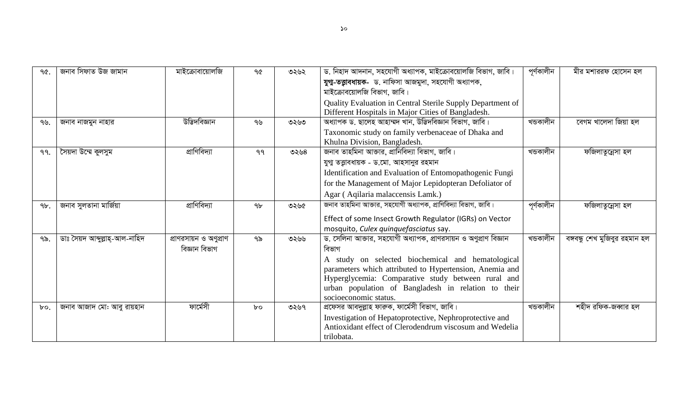| 90.    | জনাব সিফাত উজ জামান            | মাইক্রোবায়োলজি        | ዓ৫             | ৩২৬২ | ড. নিহাদ আদনান, সহযোগী অধ্যাপক, মাইক্রোবয়োলজি বিভাগ, জাবি।      | পূৰ্ণকালীন | মীর মশাররফ হোসেন হল            |
|--------|--------------------------------|------------------------|----------------|------|------------------------------------------------------------------|------------|--------------------------------|
|        |                                |                        |                |      | যুগা-তত্তাবধায়ক- ড. নাফিসা আজমুদা, সহযোগী অধ্যাপক,              |            |                                |
|        |                                |                        |                |      | মাইক্রোবয়োলজি বিভাগ, জাবি।                                      |            |                                |
|        |                                |                        |                |      | Quality Evaluation in Central Sterile Supply Department of       |            |                                |
|        |                                |                        |                |      | Different Hospitals in Major Cities of Bangladesh.               |            |                                |
| 99.    | জনাব নাজমুন নাহার              | উদ্ভিদবিজ্ঞান          | ৭৬             | ৩২৬৩ | অধ্যাপক ড. ছালেহ আহাম্মদ খান, উদ্ভিদবিজ্ঞান বিভাগ, জাবি।         | খডকালীন    | বেগম খালেদা জিয়া হল           |
|        |                                |                        |                |      | Taxonomic study on family verbenaceae of Dhaka and               |            |                                |
|        |                                |                        |                |      | Khulna Division, Bangladesh.                                     |            |                                |
| 99.    | সৈয়দা উম্মে কুলসুম            | প্রাণিবিদ্যা           | 99             | ৩২৬৪ | জনাব তাহমিনা আক্তার, প্রানিবিদ্যা বিভাগ, জাবি।                   | খন্ডকালীন  | ফজিলাতুন্নেসা হল               |
|        |                                |                        |                |      | যুগ্ম তত্ত্বাবধায়ক - ড.মো. আহসানুর রহমান                        |            |                                |
|        |                                |                        |                |      | Identification and Evaluation of Entomopathogenic Fungi          |            |                                |
|        |                                |                        |                |      | for the Management of Major Lepidopteran Defoliator of           |            |                                |
|        |                                |                        |                |      | Agar (Aqilaria malaccensis Lamk.)                                |            |                                |
| $9b$ . | জনাব সুলতানা মাৰ্জিয়া         | প্রাণিবিদ্যা           | 9 <sub>b</sub> | ৩২৬৫ | জনাব তাহমিনা আক্তার, সহযোগী অধ্যাপক, প্রাণিবিদ্যা বিভাগ, জাবি।   | পূৰ্ণকালীন | ফজিলাতুন্নেসা হল               |
|        |                                |                        |                |      | Effect of some Insect Growth Regulator (IGRs) on Vector          |            |                                |
|        |                                |                        |                |      | mosquito, Culex quinquefasciatus say.                            |            |                                |
| ৭৯.    | ডাঃ সৈয়দ আব্দুল্লাহ্-আল-নাহিদ | প্রাণরসায়ন ও অণুপ্রাণ | ৭৯             | ৩২৬৬ | ড. সেলিনা আক্তার, সহযোগী অধ্যাপক, প্রাণরসায়ন ও অণুপ্রাণ বিজ্ঞান | খডকালীন    | বঙ্গবন্ধু শেখ মুজিবুর রহমান হল |
|        |                                | বিজ্ঞান বিভাগ          |                |      | বিভাগ                                                            |            |                                |
|        |                                |                        |                |      | A study on selected biochemical and hematological                |            |                                |
|        |                                |                        |                |      | parameters which attributed to Hypertension, Anemia and          |            |                                |
|        |                                |                        |                |      | Hyperglycemia: Comparative study between rural and               |            |                                |
|        |                                |                        |                |      | urban population of Bangladesh in relation to their              |            |                                |
|        |                                |                        |                |      | socioeconomic status.                                            |            |                                |
| $b$ o. | জনাব আজাদ মো: আবু রায়হান      | ফাৰ্মেসী               | $b^{\circ}$    | ৩২৬৭ | প্রফেসর আবদুল্লাহ ফারুক, ফার্মেসী বিভাগ, জাবি।                   | খডকালীন    | শহীদ রফিক-জব্বার হল            |
|        |                                |                        |                |      | Investigation of Hepatoprotective, Nephroprotective and          |            |                                |
|        |                                |                        |                |      | Antioxidant effect of Clerodendrum viscosum and Wedelia          |            |                                |
|        |                                |                        |                |      | trilobata.                                                       |            |                                |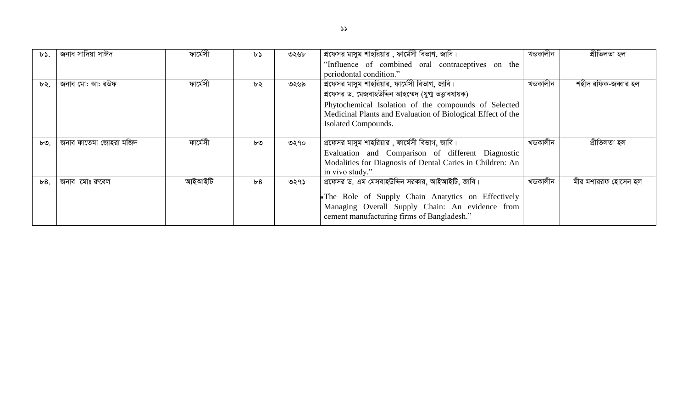| $b$ . | জনাব সাদিয়া সাঈদ      | ফাৰ্মেসী | ৮১ | ৩২৬৮ | প্রফেসর মাসুম শাহরিয়ার , ফার্মেসী বিভাগ, জাবি।             | খন্ডকালীন | প্ৰীতিলতা হল        |
|-------|------------------------|----------|----|------|-------------------------------------------------------------|-----------|---------------------|
|       |                        |          |    |      | "Influence of combined oral contraceptives on the           |           |                     |
|       |                        |          |    |      | periodontal condition."                                     |           |                     |
| ৮২.   | জনাব মো: আ: রউফ        | ফাৰ্মেসী | ৮২ | ৩২৬৯ | প্রফেসর মাসুম শাহরিয়ার, ফার্মেসী বিভাগ, জাবি।              | খডকালীন   | শহীদ রফিক-জব্বার হল |
|       |                        |          |    |      | প্রফেসর ড. মেজবাহউদ্দিন আহম্মেদ (যুগ্ম তত্ত্বাবধায়ক)       |           |                     |
|       |                        |          |    |      | Phytochemical Isolation of the compounds of Selected        |           |                     |
|       |                        |          |    |      | Medicinal Plants and Evaluation of Biological Effect of the |           |                     |
|       |                        |          |    |      | Isolated Compounds.                                         |           |                     |
|       |                        |          |    |      |                                                             |           |                     |
| ৮৩.   | জনাব ফাতেমা জোহরা মজিদ | ফাৰ্মেসী | ৮৩ | ৩২৭০ | প্রফেসর মাসুম শাহরিয়ার , ফার্মেসী বিভাগ, জাবি।             | খন্ডকালীন | প্ৰীতিলতা হল        |
|       |                        |          |    |      | Evaluation and Comparison of different Diagnostic           |           |                     |
|       |                        |          |    |      | Modalities for Diagnosis of Dental Caries in Children: An   |           |                     |
|       |                        |          |    |      | in vivo study."                                             |           |                     |
| b8.   | জনাব মোঃ রুবেল         | আইআইটি   | b8 | ৩২৭১ | প্রফেসর ড. এম মেসবাহউদ্দিন সরকার, আইআইটি, জাবি।             | খন্ডকালীন | মীর মশাররফ হোসেন হল |
|       |                        |          |    |      | <b>s</b> The Role of Supply Chain Anatytics on Effectively  |           |                     |
|       |                        |          |    |      | Managing Overall Supply Chain: An evidence from             |           |                     |
|       |                        |          |    |      | cement manufacturing firms of Bangladesh."                  |           |                     |
|       |                        |          |    |      |                                                             |           |                     |